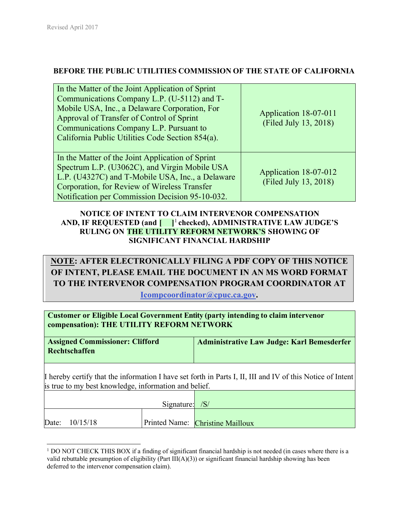## **BEFORE THE PUBLIC UTILITIES COMMISSION OF THE STATE OF CALIFORNIA**

| In the Matter of the Joint Application of Sprint<br>Communications Company L.P. (U-5112) and T-<br>Mobile USA, Inc., a Delaware Corporation, For<br>Approval of Transfer of Control of Sprint<br>Communications Company L.P. Pursuant to<br>California Public Utilities Code Section 854(a). | Application 18-07-011<br>(Filed July 13, 2018) |  |
|----------------------------------------------------------------------------------------------------------------------------------------------------------------------------------------------------------------------------------------------------------------------------------------------|------------------------------------------------|--|
| In the Matter of the Joint Application of Sprint<br>Spectrum L.P. (U3062C), and Virgin Mobile USA<br>L.P. (U4327C) and T-Mobile USA, Inc., a Delaware<br>Corporation, for Review of Wireless Transfer<br>Notification per Commission Decision 95-10-032.                                     | Application 18-07-012<br>(Filed July 13, 2018) |  |

## **NOTICE OF INTENT TO CLAIM INTERVENOR COMPENSATION AND, IF REQUESTED (and [ ]**<sup>1</sup> **checked), ADMINISTRATIVE LAW JUDGE'S RULING ON THE UTILITY REFORM NETWORK'S SHOWING OF SIGNIFICANT FINANCIAL HARDSHIP**

# **NOTE: AFTER ELECTRONICALLY FILING A PDF COPY OF THIS NOTICE OF INTENT, PLEASE EMAIL THE DOCUMENT IN AN MS WORD FORMAT TO THE INTERVENOR COMPENSATION PROGRAM COORDINATOR AT**

**Icompcoordinator@cpuc.ca.gov.** 

**Customer or Eligible Local Government Entity (party intending to claim intervenor compensation): THE UTILITY REFORM NETWORK**

| <b>Assigned Commissioner: Clifford</b><br>Rechtschaffen | <b>Administrative Law Judge: Karl Bemesderfer</b>                                                          |  |
|---------------------------------------------------------|------------------------------------------------------------------------------------------------------------|--|
| is true to my best knowledge, information and belief.   | I hereby certify that the information I have set forth in Parts I, II, III and IV of this Notice of Intent |  |
|                                                         | $\sim$                                                                                                     |  |

|       |          | Signature: $/S/$ |                                  |
|-------|----------|------------------|----------------------------------|
|       |          |                  |                                  |
| Date: | 10/15/18 |                  | Printed Name: Christine Mailloux |

<sup>&</sup>lt;sup>1</sup> DO NOT CHECK THIS BOX if a finding of significant financial hardship is not needed (in cases where there is a valid rebuttable presumption of eligibility (Part III( $A$ )(3)) or significant financial hardship showing has been deferred to the intervenor compensation claim).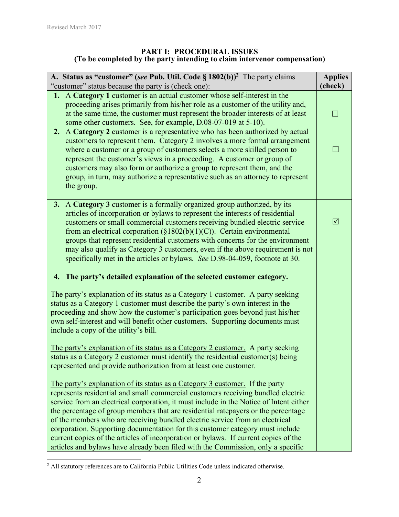#### **PART I: PROCEDURAL ISSUES (To be completed by the party intending to claim intervenor compensation)**

| A. Status as "customer" (see Pub. Util. Code § 1802(b)) <sup>2</sup> The party claims<br>"customer" status because the party is (check one):                                                                                                                                                                                                                                                                                                                                                                                                                                                                                                                                                       | <b>Applies</b><br>(check) |
|----------------------------------------------------------------------------------------------------------------------------------------------------------------------------------------------------------------------------------------------------------------------------------------------------------------------------------------------------------------------------------------------------------------------------------------------------------------------------------------------------------------------------------------------------------------------------------------------------------------------------------------------------------------------------------------------------|---------------------------|
| 1. A Category 1 customer is an actual customer whose self-interest in the<br>proceeding arises primarily from his/her role as a customer of the utility and,<br>at the same time, the customer must represent the broader interests of at least<br>some other customers. See, for example, D.08-07-019 at 5-10).                                                                                                                                                                                                                                                                                                                                                                                   | $\Box$                    |
| A Category 2 customer is a representative who has been authorized by actual<br>2.<br>customers to represent them. Category 2 involves a more formal arrangement<br>where a customer or a group of customers selects a more skilled person to<br>represent the customer's views in a proceeding. A customer or group of<br>customers may also form or authorize a group to represent them, and the<br>group, in turn, may authorize a representative such as an attorney to represent<br>the group.                                                                                                                                                                                                 |                           |
| 3. A Category 3 customer is a formally organized group authorized, by its<br>articles of incorporation or bylaws to represent the interests of residential<br>customers or small commercial customers receiving bundled electric service<br>from an electrical corporation $(\S1802(b)(1)(C))$ . Certain environmental<br>groups that represent residential customers with concerns for the environment<br>may also qualify as Category 3 customers, even if the above requirement is not<br>specifically met in the articles or bylaws. See D.98-04-059, footnote at 30.                                                                                                                          | ☑                         |
| 4. The party's detailed explanation of the selected customer category.                                                                                                                                                                                                                                                                                                                                                                                                                                                                                                                                                                                                                             |                           |
| The party's explanation of its status as a Category 1 customer. A party seeking<br>status as a Category 1 customer must describe the party's own interest in the<br>proceeding and show how the customer's participation goes beyond just his/her<br>own self-interest and will benefit other customers. Supporting documents must<br>include a copy of the utility's bill.<br>The party's explanation of its status as a Category 2 customer. A party seeking<br>status as a Category 2 customer must identify the residential customer(s) being<br>represented and provide authorization from at least one customer.                                                                             |                           |
| <u>The party's explanation of its status as a Category 3 customer.</u> If the party<br>represents residential and small commercial customers receiving bundled electric<br>service from an electrical corporation, it must include in the Notice of Intent either<br>the percentage of group members that are residential ratepayers or the percentage<br>of the members who are receiving bundled electric service from an electrical<br>corporation. Supporting documentation for this customer category must include<br>current copies of the articles of incorporation or bylaws. If current copies of the<br>articles and bylaws have already been filed with the Commission, only a specific |                           |

 2 All statutory references are to California Public Utilities Code unless indicated otherwise.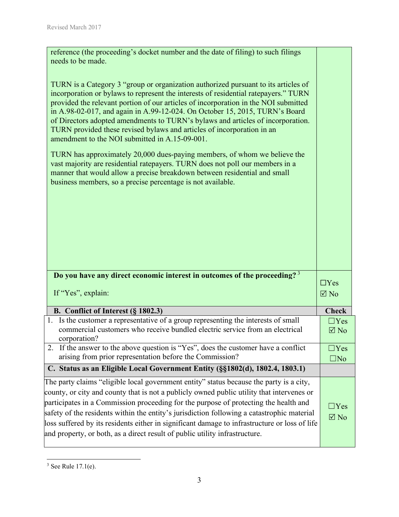| reference (the proceeding's docket number and the date of filing) to such filings<br>needs to be made.                                                                                                                                                                                                                                                                                                                                                                                                                                                         |                              |
|----------------------------------------------------------------------------------------------------------------------------------------------------------------------------------------------------------------------------------------------------------------------------------------------------------------------------------------------------------------------------------------------------------------------------------------------------------------------------------------------------------------------------------------------------------------|------------------------------|
| TURN is a Category 3 "group or organization authorized pursuant to its articles of<br>incorporation or bylaws to represent the interests of residential ratepayers." TURN<br>provided the relevant portion of our articles of incorporation in the NOI submitted<br>in A.98-02-017, and again in A.99-12-024. On October 15, 2015, TURN's Board<br>of Directors adopted amendments to TURN's bylaws and articles of incorporation.<br>TURN provided these revised bylaws and articles of incorporation in an<br>amendment to the NOI submitted in A.15-09-001. |                              |
| TURN has approximately 20,000 dues-paying members, of whom we believe the<br>vast majority are residential ratepayers. TURN does not poll our members in a<br>manner that would allow a precise breakdown between residential and small<br>business members, so a precise percentage is not available.                                                                                                                                                                                                                                                         |                              |
|                                                                                                                                                                                                                                                                                                                                                                                                                                                                                                                                                                |                              |
|                                                                                                                                                                                                                                                                                                                                                                                                                                                                                                                                                                |                              |
| Do you have any direct economic interest in outcomes of the proceeding? <sup>3</sup>                                                                                                                                                                                                                                                                                                                                                                                                                                                                           |                              |
| If "Yes", explain:                                                                                                                                                                                                                                                                                                                                                                                                                                                                                                                                             | $\Box$ Yes<br>$\boxtimes$ No |
| B. Conflict of Interest (§ 1802.3)                                                                                                                                                                                                                                                                                                                                                                                                                                                                                                                             | <b>Check</b>                 |
| 1. Is the customer a representative of a group representing the interests of small<br>commercial customers who receive bundled electric service from an electrical<br>corporation?                                                                                                                                                                                                                                                                                                                                                                             | $\Box$ Yes<br>$\boxtimes$ No |
| 2. If the answer to the above question is "Yes", does the customer have a conflict<br>arising from prior representation before the Commission?                                                                                                                                                                                                                                                                                                                                                                                                                 | $\Box$ Yes<br>$\square$ No   |
| C. Status as an Eligible Local Government Entity (§§1802(d), 1802.4, 1803.1)                                                                                                                                                                                                                                                                                                                                                                                                                                                                                   |                              |
| The party claims "eligible local government entity" status because the party is a city,                                                                                                                                                                                                                                                                                                                                                                                                                                                                        |                              |
| county, or city and county that is not a publicly owned public utility that intervenes or                                                                                                                                                                                                                                                                                                                                                                                                                                                                      |                              |
| participates in a Commission proceeding for the purpose of protecting the health and                                                                                                                                                                                                                                                                                                                                                                                                                                                                           | $\Box$ Yes                   |
| safety of the residents within the entity's jurisdiction following a catastrophic material<br>loss suffered by its residents either in significant damage to infrastructure or loss of life                                                                                                                                                                                                                                                                                                                                                                    | $\boxtimes$ No               |
| and property, or both, as a direct result of public utility infrastructure.                                                                                                                                                                                                                                                                                                                                                                                                                                                                                    |                              |

<sup>&</sup>lt;sup>3</sup> See Rule 17.1(e).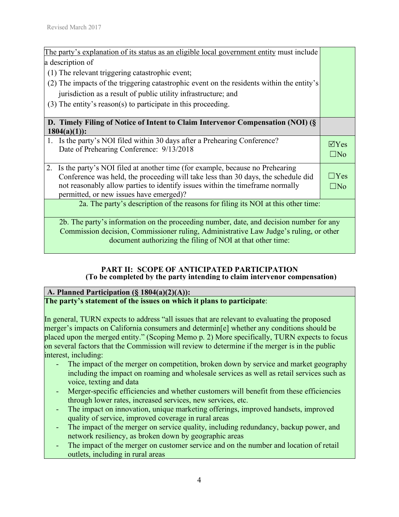| The party's explanation of its status as an eligible local government entity must include |              |
|-------------------------------------------------------------------------------------------|--------------|
| a description of                                                                          |              |
| (1) The relevant triggering catastrophic event;                                           |              |
| (2) The impacts of the triggering catastrophic event on the residents within the entity's |              |
| jurisdiction as a result of public utility infrastructure; and                            |              |
| $(3)$ The entity's reason(s) to participate in this proceeding.                           |              |
|                                                                                           |              |
| D. Timely Filing of Notice of Intent to Claim Intervenor Compensation (NOI) (§            |              |
| $1804(a)(1)$ :                                                                            |              |
| 1. Is the party's NOI filed within 30 days after a Prehearing Conference?                 | $\Box$ Yes   |
| Date of Prehearing Conference: 9/13/2018                                                  | $\square$ No |
|                                                                                           |              |
| Is the party's NOI filed at another time (for example, because no Prehearing<br>2.        |              |
| Conference was held, the proceeding will take less than 30 days, the schedule did         | $\Box$ Yes   |
| not reasonably allow parties to identify issues within the timeframe normally             | $\Box$ No    |
| permitted, or new issues have emerged)?                                                   |              |
| 2a. The party's description of the reasons for filing its NOI at this other time:         |              |
|                                                                                           |              |
| 2b. The party's information on the proceeding number, date, and decision number for any   |              |
| Commission decision, Commissioner ruling, Administrative Law Judge's ruling, or other     |              |
| document authorizing the filing of NOI at that other time:                                |              |

### **PART II: SCOPE OF ANTICIPATED PARTICIPATION (To be completed by the party intending to claim intervenor compensation)**

#### **A. Planned Participation (§ 1804(a)(2)(A)): The party's statement of the issues on which it plans to participate**:

In general, TURN expects to address "all issues that are relevant to evaluating the proposed merger's impacts on California consumers and determin[e] whether any conditions should be placed upon the merged entity." (Scoping Memo p. 2) More specifically, TURN expects to focus on several factors that the Commission will review to determine if the merger is in the public interest, including:

- The impact of the merger on competition, broken down by service and market geography including the impact on roaming and wholesale services as well as retail services such as voice, texting and data
- Merger-specific efficiencies and whether customers will benefit from these efficiencies through lower rates, increased services, new services, etc.
- The impact on innovation, unique marketing offerings, improved handsets, improved quality of service, improved coverage in rural areas
- The impact of the merger on service quality, including redundancy, backup power, and network resiliency, as broken down by geographic areas
- The impact of the merger on customer service and on the number and location of retail outlets, including in rural areas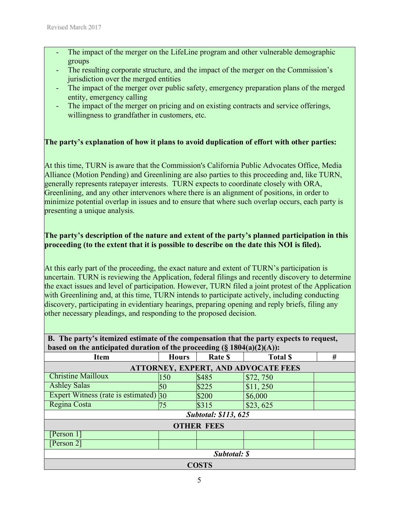- The impact of the merger on the LifeLine program and other vulnerable demographic groups
- The resulting corporate structure, and the impact of the merger on the Commission's jurisdiction over the merged entities
- The impact of the merger over public safety, emergency preparation plans of the merged entity, emergency calling
- The impact of the merger on pricing and on existing contracts and service offerings, willingness to grandfather in customers, etc.

## **The party's explanation of how it plans to avoid duplication of effort with other parties:**

At this time, TURN is aware that the Commission's California Public Advocates Office, Media Alliance (Motion Pending) and Greenlining are also parties to this proceeding and, like TURN, generally represents ratepayer interests. TURN expects to coordinate closely with ORA, Greenlining, and any other intervenors where there is an alignment of positions, in order to minimize potential overlap in issues and to ensure that where such overlap occurs, each party is presenting a unique analysis.

## **The party's description of the nature and extent of the party's planned participation in this proceeding (to the extent that it is possible to describe on the date this NOI is filed).**

At this early part of the proceeding, the exact nature and extent of TURN's participation is uncertain. TURN is reviewing the Application, federal filings and recently discovery to determine the exact issues and level of participation. However, TURN filed a joint protest of the Application with Greenlining and, at this time, TURN intends to participate actively, including conducting discovery, participating in evidentiary hearings, preparing opening and reply briefs, filing any other necessary pleadings, and responding to the proposed decision.

## **B. The party's itemized estimate of the compensation that the party expects to request, based on the anticipated duration of the proceeding (§ 1804(a)(2)(A)):**

| <b>Item</b>                           | <b>Hours</b>                        | <u> ບັນ</u><br>Rate \$      | , , , , , , , ,<br><b>Total \$</b> | # |
|---------------------------------------|-------------------------------------|-----------------------------|------------------------------------|---|
|                                       | ATTORNEY, EXPERT, AND ADVOCATE FEES |                             |                                    |   |
| <b>Christine Mailloux</b>             | 150                                 | \$485                       | \$72,750                           |   |
| <b>Ashley Salas</b>                   | 50                                  | \$225                       | \$11, 250                          |   |
| Expert Witness (rate is estimated) 30 |                                     | \$200                       | \$6,000                            |   |
| Regina Costa                          | 75                                  | \$315                       | \$23,625                           |   |
|                                       |                                     | <b>Subtotal: \$113, 625</b> |                                    |   |
|                                       |                                     | <b>OTHER FEES</b>           |                                    |   |
| [Person 1]                            |                                     |                             |                                    |   |
| [Person 2]                            |                                     |                             |                                    |   |
| Subtotal: \$                          |                                     |                             |                                    |   |
|                                       |                                     | <b>COSTS</b>                |                                    |   |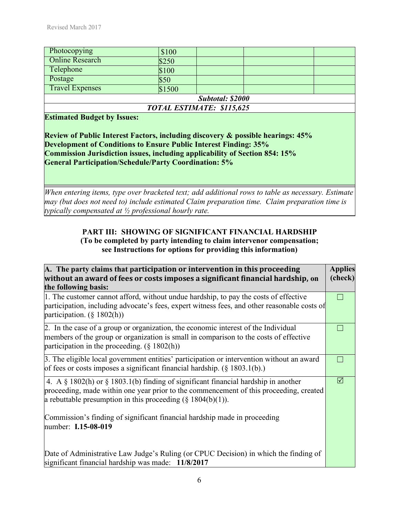| Photocopying              | \$100  |  |  |  |
|---------------------------|--------|--|--|--|
| <b>Online Research</b>    | \$250  |  |  |  |
| Telephone                 | \$100  |  |  |  |
| Postage                   | \$50   |  |  |  |
| <b>Travel Expenses</b>    | \$1500 |  |  |  |
| Subtotal: \$2000          |        |  |  |  |
| TOTAL ESTIMATE: \$115,625 |        |  |  |  |

#### **Estimated Budget by Issues:**

**Review of Public Interest Factors, including discovery & possible hearings: 45% Development of Conditions to Ensure Public Interest Finding: 35% Commission Jurisdiction issues, including applicability of Section 854: 15% General Participation/Schedule/Party Coordination: 5%** 

*When entering items, type over bracketed text; add additional rows to table as necessary. Estimate may (but does not need to) include estimated Claim preparation time. Claim preparation time is typically compensated at ½ professional hourly rate.*

## **PART III: SHOWING OF SIGNIFICANT FINANCIAL HARDSHIP (To be completed by party intending to claim intervenor compensation; see Instructions for options for providing this information)**

| A. The party claims that participation or intervention in this proceeding                                                                                                                                                                             | <b>Applies</b> |
|-------------------------------------------------------------------------------------------------------------------------------------------------------------------------------------------------------------------------------------------------------|----------------|
| without an award of fees or costs imposes a significant financial hardship, on                                                                                                                                                                        | (check)        |
| the following basis:                                                                                                                                                                                                                                  |                |
| 1. The customer cannot afford, without undue hardship, to pay the costs of effective<br>participation, including advocate's fees, expert witness fees, and other reasonable costs of<br>participation. $(\S 1802(h))$                                 |                |
| 2. In the case of a group or organization, the economic interest of the Individual<br>members of the group or organization is small in comparison to the costs of effective<br>participation in the proceeding. $(\S 1802(h))$                        |                |
| 3. The eligible local government entities' participation or intervention without an award<br>of fees or costs imposes a significant financial hardship. $(\S 1803.1(b))$ .                                                                            |                |
| 4. A $\S$ 1802(h) or $\S$ 1803.1(b) finding of significant financial hardship in another<br>proceeding, made within one year prior to the commencement of this proceeding, created<br>a rebuttable presumption in this proceeding $(\S 1804(b)(1))$ . | ⊠              |
| Commission's finding of significant financial hardship made in proceeding<br>number: <b>I.15-08-019</b>                                                                                                                                               |                |
| Date of Administrative Law Judge's Ruling (or CPUC Decision) in which the finding of<br>significant financial hardship was made: 11/8/2017                                                                                                            |                |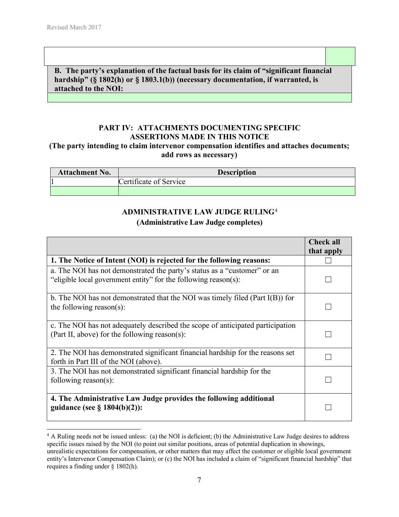l

**B. The party's explanation of the factual basis for its claim of "significant financial hardship" (§ 1802(h) or § 1803.1(b)) (necessary documentation, if warranted, is attached to the NOI:** 

#### **PART IV: ATTACHMENTS DOCUMENTING SPECIFIC ASSERTIONS MADE IN THIS NOTICE (The party intending to claim intervenor compensation identifies and attaches documents; add rows as necessary)**

| <b>Attachment No.</b> | <b>Description</b>     |
|-----------------------|------------------------|
|                       | Certificate of Service |
|                       |                        |

## **ADMINISTRATIVE LAW JUDGE RULING**<sup>4</sup> **(Administrative Law Judge completes)**

|                                                                                                                                             | <b>Check all</b> |
|---------------------------------------------------------------------------------------------------------------------------------------------|------------------|
|                                                                                                                                             | that apply       |
| 1. The Notice of Intent (NOI) is rejected for the following reasons:                                                                        |                  |
| a. The NOI has not demonstrated the party's status as a "customer" or an<br>"eligible local government entity" for the following reason(s): |                  |
| b. The NOI has not demonstrated that the NOI was timely filed (Part $I(B)$ ) for<br>the following reason(s):                                |                  |
| c. The NOI has not adequately described the scope of anticipated participation<br>(Part II, above) for the following reason(s):             |                  |
| 2. The NOI has demonstrated significant financial hardship for the reasons set<br>forth in Part III of the NOI (above).                     |                  |
| 3. The NOI has not demonstrated significant financial hardship for the<br>following reason(s):                                              |                  |
| 4. The Administrative Law Judge provides the following additional<br>guidance (see $\S$ 1804(b)(2)):                                        |                  |

<sup>&</sup>lt;sup>4</sup> A Ruling needs not be issued unless: (a) the NOI is deficient; (b) the Administrative Law Judge desires to address specific issues raised by the NOI (to point out similar positions, areas of potential duplication in showings, unrealistic expectations for compensation, or other matters that may affect the customer or eligible local government entity's Intervenor Compensation Claim); or (c) the NOI has included a claim of "significant financial hardship" that requires a finding under § 1802(h).